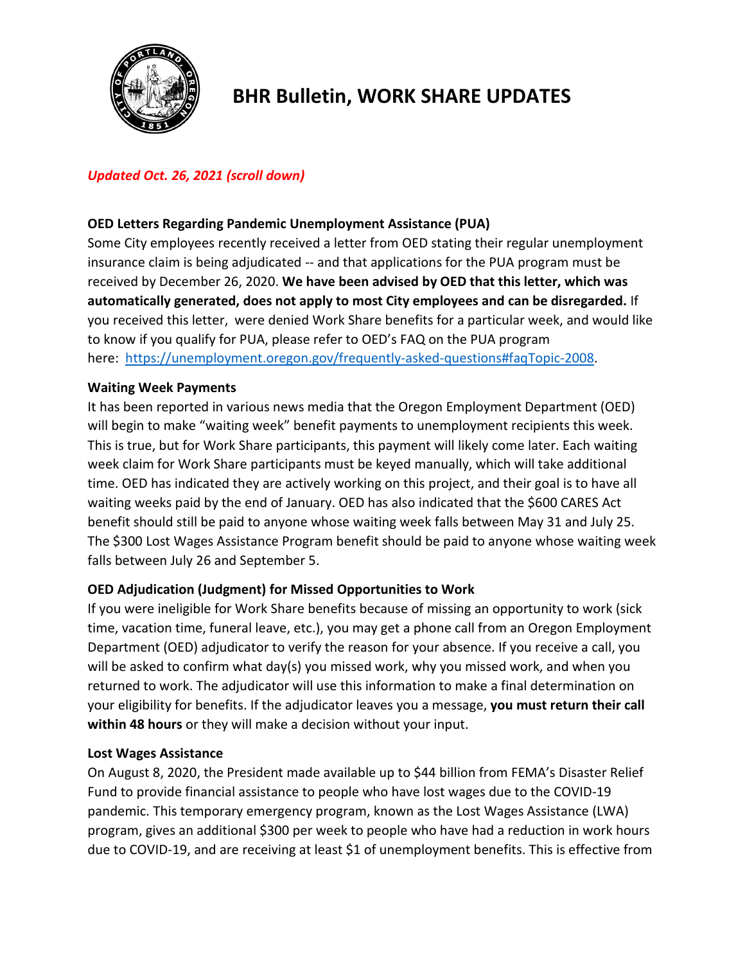

# **BHR Bulletin, WORK SHARE UPDATES**

# *Updated Oct. 26, 2021 (scroll down)*

## **OED Letters Regarding Pandemic Unemployment Assistance (PUA)**

Some City employees recently received a letter from OED stating their regular unemployment insurance claim is being adjudicated -- and that applications for the PUA program must be received by December 26, 2020. **We have been advised by OED that this letter, which was automatically generated, does not apply to most City employees and can be disregarded.** If you received this letter, were denied Work Share benefits for a particular week, and would like to know if you qualify for PUA, please refer to OED's FAQ on the PUA program here: [https://unemployment.oregon.gov/frequently-asked-questions#faqTopic-2008.](https://unemployment.oregon.gov/frequently-asked-questions#faqTopic-2008)

## **Waiting Week Payments**

It has been reported in various news media that the Oregon Employment Department (OED) will begin to make "waiting week" benefit payments to unemployment recipients this week. This is true, but for Work Share participants, this payment will likely come later. Each waiting week claim for Work Share participants must be keyed manually, which will take additional time. OED has indicated they are actively working on this project, and their goal is to have all waiting weeks paid by the end of January. OED has also indicated that the \$600 CARES Act benefit should still be paid to anyone whose waiting week falls between May 31 and July 25. The \$300 Lost Wages Assistance Program benefit should be paid to anyone whose waiting week falls between July 26 and September 5.

## **OED Adjudication (Judgment) for Missed Opportunities to Work**

If you were ineligible for Work Share benefits because of missing an opportunity to work (sick time, vacation time, funeral leave, etc.), you may get a phone call from an Oregon Employment Department (OED) adjudicator to verify the reason for your absence. If you receive a call, you will be asked to confirm what day(s) you missed work, why you missed work, and when you returned to work. The adjudicator will use this information to make a final determination on your eligibility for benefits. If the adjudicator leaves you a message, **you must return their call within 48 hours** or they will make a decision without your input.

## **Lost Wages Assistance**

On August 8, 2020, the President made available up to \$44 billion from FEMA's Disaster Relief Fund to provide financial assistance to people who have lost wages due to the COVID-19 pandemic. This temporary emergency program, known as the Lost Wages Assistance (LWA) program, gives an additional \$300 per week to people who have had a reduction in work hours due to COVID-19, and are receiving at least \$1 of unemployment benefits. This is effective from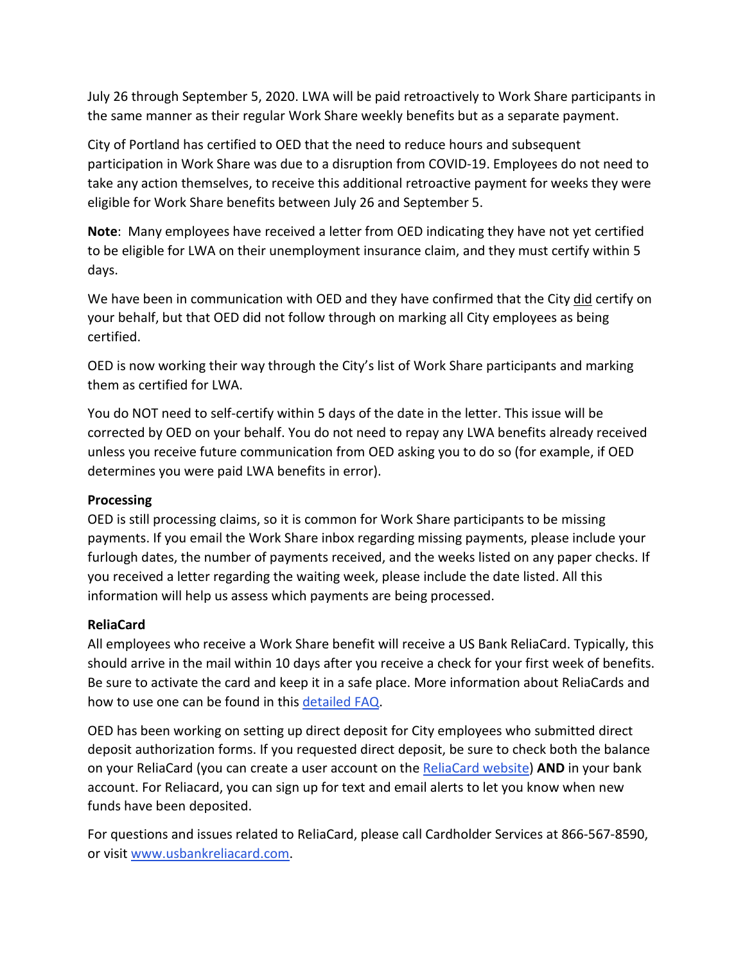July 26 through September 5, 2020. LWA will be paid retroactively to Work Share participants in the same manner as their regular Work Share weekly benefits but as a separate payment.

City of Portland has certified to OED that the need to reduce hours and subsequent participation in Work Share was due to a disruption from COVID-19. Employees do not need to take any action themselves, to receive this additional retroactive payment for weeks they were eligible for Work Share benefits between July 26 and September 5.

**Note**: Many employees have received a letter from OED indicating they have not yet certified to be eligible for LWA on their unemployment insurance claim, and they must certify within 5 days.

We have been in communication with OED and they have confirmed that the City did certify on your behalf, but that OED did not follow through on marking all City employees as being certified.

OED is now working their way through the City's list of Work Share participants and marking them as certified for LWA.

You do NOT need to self-certify within 5 days of the date in the letter. This issue will be corrected by OED on your behalf. You do not need to repay any LWA benefits already received unless you receive future communication from OED asking you to do so (for example, if OED determines you were paid LWA benefits in error).

# **Processing**

OED is still processing claims, so it is common for Work Share participants to be missing payments. If you email the Work Share inbox regarding missing payments, please include your furlough dates, the number of payments received, and the weeks listed on any paper checks. If you received a letter regarding the waiting week, please include the date listed. All this information will help us assess which payments are being processed.

# **ReliaCard**

All employees who receive a Work Share benefit will receive a US Bank ReliaCard. Typically, this should arrive in the mail within 10 days after you receive a check for your first week of benefits. Be sure to activate the card and keep it in a safe place. More information about ReliaCards and how to use one can be found in thi[s detailed FAQ.](https://www.prepaidmaterials.com/dam/usbankreliacard/documents/USB-ReliaCard-Visa-MC-Generic-FAQ.pdf)

OED has been working on setting up direct deposit for City employees who submitted direct deposit authorization forms. If you requested direct deposit, be sure to check both the balance on your ReliaCard (you can create a user account on th[e ReliaCard website\)](https://www.usbankreliacard.com/web/usbankreliacard/login) **AND** in your bank account. For Reliacard, you can sign up for text and email alerts to let you know when new funds have been deposited.

For questions and issues related to ReliaCard, please call Cardholder Services at 866-567-8590, or visit [www.usbankreliacard.com.](http://www.usbankreliacard.com/)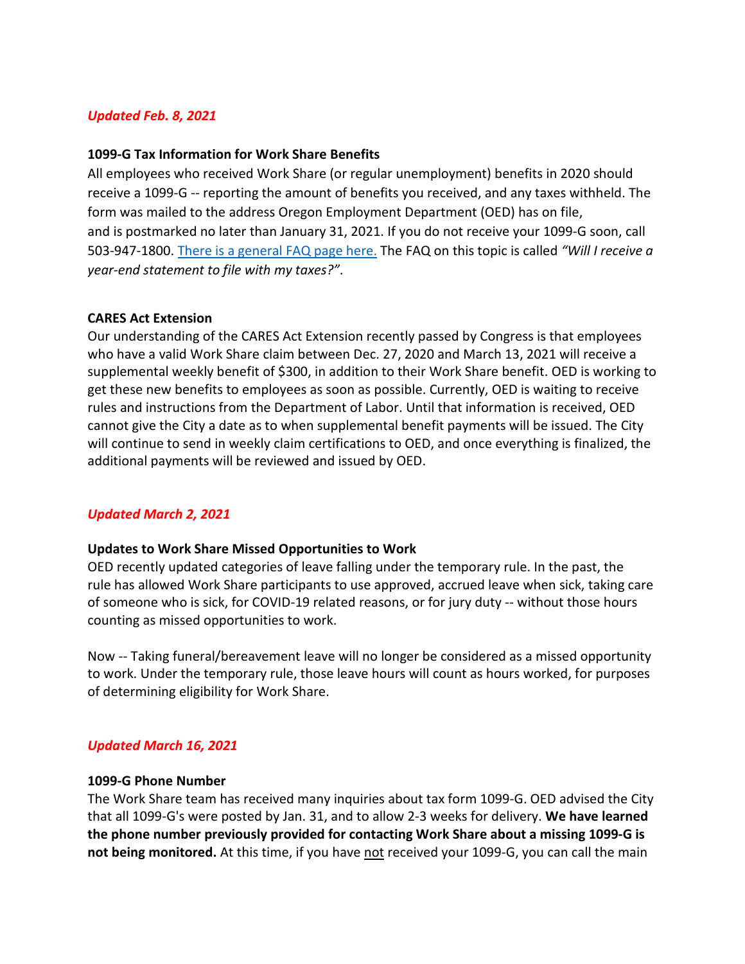## *Updated Feb. 8, 2021*

#### **1099-G Tax Information for Work Share Benefits**

All employees who received Work Share (or regular unemployment) benefits in 2020 should receive a 1099-G -- reporting the amount of benefits you received, and any taxes withheld. The form was mailed to the address Oregon Employment Department (OED) has on file, and is postmarked no later than January 31, 2021. If you do not receive your 1099-G soon, call 503-947-1800. [There is a general FAQ page here.](https://www.oregon.gov/EMPLOY/Unemployment/Pages/UI-FAQ.aspx) The FAQ on this topic is called *"Will I receive a year-end statement to file with my taxes?"*.

#### **CARES Act Extension**

Our understanding of the CARES Act Extension recently passed by Congress is that employees who have a valid Work Share claim between Dec. 27, 2020 and March 13, 2021 will receive a supplemental weekly benefit of \$300, in addition to their Work Share benefit. OED is working to get these new benefits to employees as soon as possible. Currently, OED is waiting to receive rules and instructions from the Department of Labor. Until that information is received, OED cannot give the City a date as to when supplemental benefit payments will be issued. The City will continue to send in weekly claim certifications to OED, and once everything is finalized, the additional payments will be reviewed and issued by OED.

#### *Updated March 2, 2021*

#### **Updates to Work Share Missed Opportunities to Work**

OED recently updated categories of leave falling under the temporary rule. In the past, the rule has allowed Work Share participants to use approved, accrued leave when sick, taking care of someone who is sick, for COVID-19 related reasons, or for jury duty -- without those hours counting as missed opportunities to work.

Now -- Taking funeral/bereavement leave will no longer be considered as a missed opportunity to work. Under the temporary rule, those leave hours will count as hours worked, for purposes of determining eligibility for Work Share.

#### *Updated March 16, 2021*

#### **1099-G Phone Number**

The Work Share team has received many inquiries about tax form 1099-G. OED advised the City that all 1099-G's were posted by Jan. 31, and to allow 2-3 weeks for delivery. **We have learned the phone number previously provided for contacting Work Share about a missing 1099-G is not being monitored.** At this time, if you have not received your 1099-G, you can call the main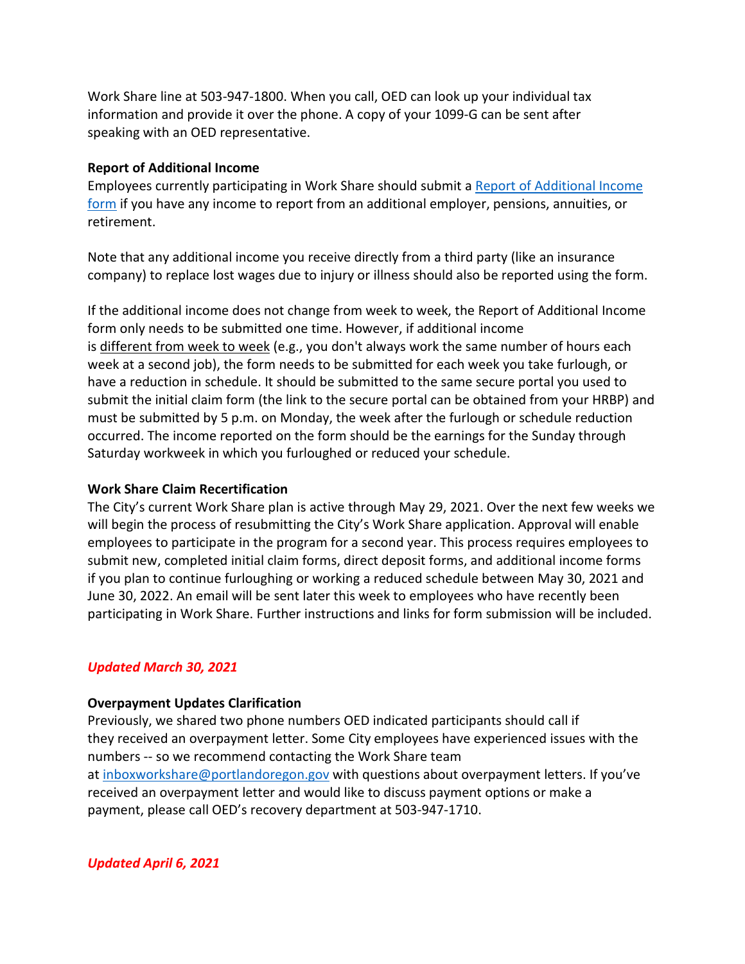Work Share line at 503-947-1800. When you call, OED can look up your individual tax information and provide it over the phone. A copy of your 1099-G can be sent after speaking with an OED representative.

## **Report of Additional Income**

Employees currently participating in Work Share should submit a [Report of Additional Income](https://www.portlandoregon.gov/bhr/article/761893)  [form](https://www.portlandoregon.gov/bhr/article/761893) if you have any income to report from an additional employer, pensions, annuities, or retirement.

Note that any additional income you receive directly from a third party (like an insurance company) to replace lost wages due to injury or illness should also be reported using the form.

If the additional income does not change from week to week, the Report of Additional Income form only needs to be submitted one time. However, if additional income is different from week to week (e.g., you don't always work the same number of hours each week at a second job), the form needs to be submitted for each week you take furlough, or have a reduction in schedule. It should be submitted to the same secure portal you used to submit the initial claim form (the link to the secure portal can be obtained from your HRBP) and must be submitted by 5 p.m. on Monday, the week after the furlough or schedule reduction occurred. The income reported on the form should be the earnings for the Sunday through Saturday workweek in which you furloughed or reduced your schedule.

# **Work Share Claim Recertification**

The City's current Work Share plan is active through May 29, 2021. Over the next few weeks we will begin the process of resubmitting the City's Work Share application. Approval will enable employees to participate in the program for a second year. This process requires employees to submit new, completed initial claim forms, direct deposit forms, and additional income forms if you plan to continue furloughing or working a reduced schedule between May 30, 2021 and June 30, 2022. An email will be sent later this week to employees who have recently been participating in Work Share. Further instructions and links for form submission will be included.

# *Updated March 30, 2021*

# **Overpayment Updates Clarification**

Previously, we shared two phone numbers OED indicated participants should call if they received an overpayment letter. Some City employees have experienced issues with the numbers -- so we recommend contacting the Work Share team at [inboxworkshare@portlandoregon.gov](mailto:inboxworkshare@portlandoregon.gov) with questions about overpayment letters. If you've received an overpayment letter and would like to discuss payment options or make a payment, please call OED's recovery department at 503-947-1710.

*Updated April 6, 2021*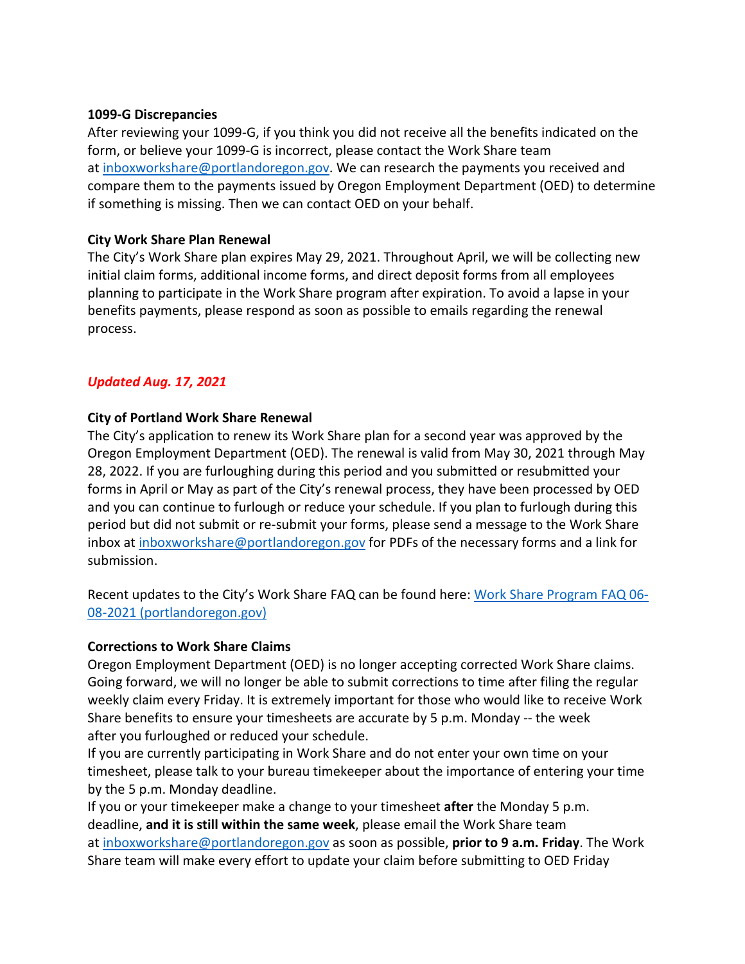#### **1099-G Discrepancies**

After reviewing your 1099-G, if you think you did not receive all the benefits indicated on the form, or believe your 1099-G is incorrect, please contact the Work Share team at [inboxworkshare@portlandoregon.gov.](mailto:inboxworkshare@portlandoregon.gov) We can research the payments you received and compare them to the payments issued by Oregon Employment Department (OED) to determine if something is missing. Then we can contact OED on your behalf.

## **City Work Share Plan Renewal**

The City's Work Share plan expires May 29, 2021. Throughout April, we will be collecting new initial claim forms, additional income forms, and direct deposit forms from all employees planning to participate in the Work Share program after expiration. To avoid a lapse in your benefits payments, please respond as soon as possible to emails regarding the renewal process.

# *Updated Aug. 17, 2021*

# **City of Portland Work Share Renewal**

The City's application to renew its Work Share plan for a second year was approved by the Oregon Employment Department (OED). The renewal is valid from May 30, 2021 through May 28, 2022. If you are furloughing during this period and you submitted or resubmitted your forms in April or May as part of the City's renewal process, they have been processed by OED and you can continue to furlough or reduce your schedule. If you plan to furlough during this period but did not submit or re-submit your forms, please send a message to the Work Share inbox at [inboxworkshare@portlandoregon.gov](mailto:inboxworkshare@portlandoregon.gov) for PDFs of the necessary forms and a link for submission.

Recent updates to the City's Work Share FAQ can be found here: [Work Share Program FAQ 06-](https://www.portlandoregon.gov/bhr/article/761976) [08-2021 \(portlandoregon.gov\)](https://www.portlandoregon.gov/bhr/article/761976) 

# **Corrections to Work Share Claims**

Oregon Employment Department (OED) is no longer accepting corrected Work Share claims. Going forward, we will no longer be able to submit corrections to time after filing the regular weekly claim every Friday. It is extremely important for those who would like to receive Work Share benefits to ensure your timesheets are accurate by 5 p.m. Monday -- the week after you furloughed or reduced your schedule.

If you are currently participating in Work Share and do not enter your own time on your timesheet, please talk to your bureau timekeeper about the importance of entering your time by the 5 p.m. Monday deadline.

If you or your timekeeper make a change to your timesheet **after** the Monday 5 p.m. deadline, **and it is still within the same week**, please email the Work Share team at [inboxworkshare@portlandoregon.gov](mailto:inboxworkshare@portlandoregon.gov) as soon as possible, **prior to 9 a.m. Friday**. The Work Share team will make every effort to update your claim before submitting to OED Friday